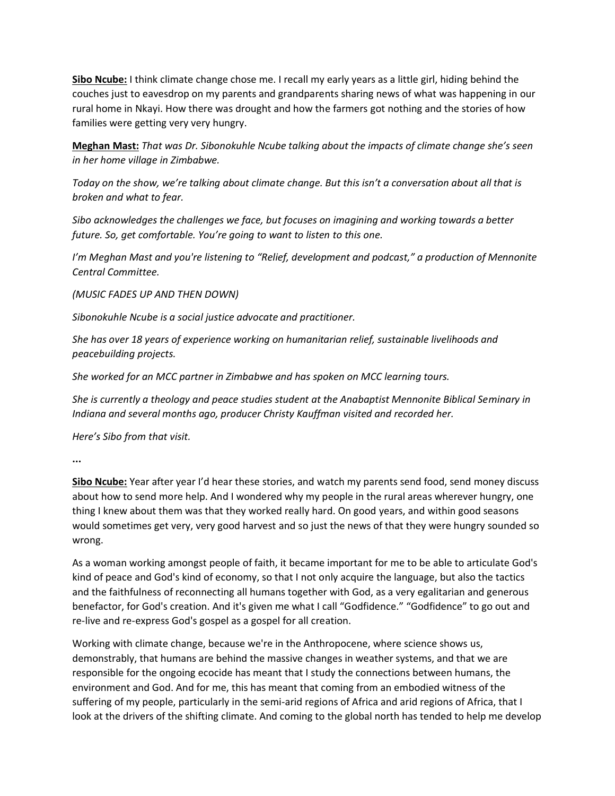**Sibo Ncube:** I think climate change chose me. I recall my early years as a little girl, hiding behind the couches just to eavesdrop on my parents and grandparents sharing news of what was happening in our rural home in Nkayi. How there was drought and how the farmers got nothing and the stories of how families were getting very very hungry.

**Meghan Mast:** *That was Dr. Sibonokuhle Ncube talking about the impacts of climate change she's seen in her home village in Zimbabwe.* 

*Today on the show, we're talking about climate change. But this isn't a conversation about all that is broken and what to fear.* 

*Sibo acknowledges the challenges we face, but focuses on imagining and working towards a better future. So, get comfortable. You're going to want to listen to this one.*

*I'm Meghan Mast and you're listening to "Relief, development and podcast," a production of Mennonite Central Committee.* 

*(MUSIC FADES UP AND THEN DOWN)* 

*Sibonokuhle Ncube is a social justice advocate and practitioner.* 

*She has over 18 years of experience working on humanitarian relief, sustainable livelihoods and peacebuilding projects.* 

*She worked for an MCC partner in Zimbabwe and has spoken on MCC learning tours.* 

*She is currently a theology and peace studies student at the Anabaptist Mennonite Biblical Seminary in Indiana and several months ago, producer Christy Kauffman visited and recorded her.* 

*Here's Sibo from that visit.*

**...**

**Sibo Ncube:** Year after year I'd hear these stories, and watch my parents send food, send money discuss about how to send more help. And I wondered why my people in the rural areas wherever hungry, one thing I knew about them was that they worked really hard. On good years, and within good seasons would sometimes get very, very good harvest and so just the news of that they were hungry sounded so wrong.

As a woman working amongst people of faith, it became important for me to be able to articulate God's kind of peace and God's kind of economy, so that I not only acquire the language, but also the tactics and the faithfulness of reconnecting all humans together with God, as a very egalitarian and generous benefactor, for God's creation. And it's given me what I call "Godfidence." "Godfidence" to go out and re-live and re-express God's gospel as a gospel for all creation.

Working with climate change, because we're in the Anthropocene, where science shows us, demonstrably, that humans are behind the massive changes in weather systems, and that we are responsible for the ongoing ecocide has meant that I study the connections between humans, the environment and God. And for me, this has meant that coming from an embodied witness of the suffering of my people, particularly in the semi-arid regions of Africa and arid regions of Africa, that I look at the drivers of the shifting climate. And coming to the global north has tended to help me develop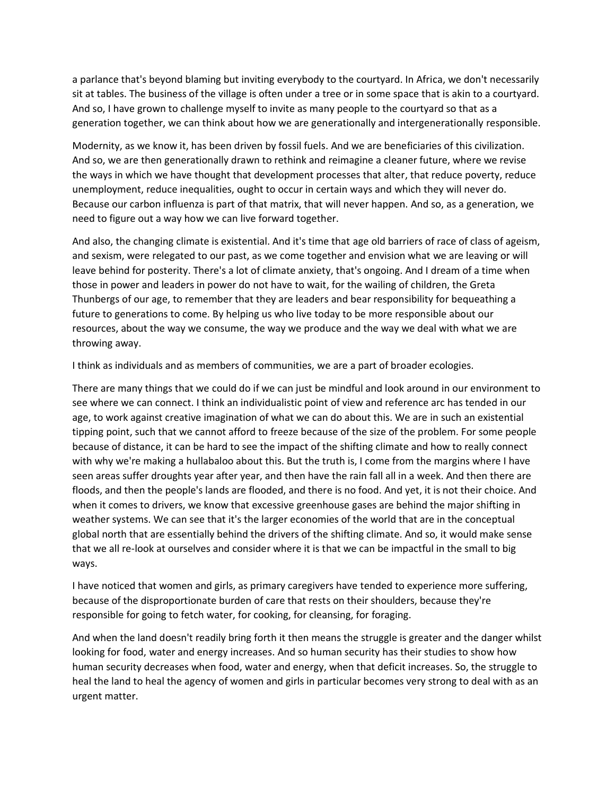a parlance that's beyond blaming but inviting everybody to the courtyard. In Africa, we don't necessarily sit at tables. The business of the village is often under a tree or in some space that is akin to a courtyard. And so, I have grown to challenge myself to invite as many people to the courtyard so that as a generation together, we can think about how we are generationally and intergenerationally responsible.

Modernity, as we know it, has been driven by fossil fuels. And we are beneficiaries of this civilization. And so, we are then generationally drawn to rethink and reimagine a cleaner future, where we revise the ways in which we have thought that development processes that alter, that reduce poverty, reduce unemployment, reduce inequalities, ought to occur in certain ways and which they will never do. Because our carbon influenza is part of that matrix, that will never happen. And so, as a generation, we need to figure out a way how we can live forward together.

And also, the changing climate is existential. And it's time that age old barriers of race of class of ageism, and sexism, were relegated to our past, as we come together and envision what we are leaving or will leave behind for posterity. There's a lot of climate anxiety, that's ongoing. And I dream of a time when those in power and leaders in power do not have to wait, for the wailing of children, the Greta Thunbergs of our age, to remember that they are leaders and bear responsibility for bequeathing a future to generations to come. By helping us who live today to be more responsible about our resources, about the way we consume, the way we produce and the way we deal with what we are throwing away.

I think as individuals and as members of communities, we are a part of broader ecologies.

There are many things that we could do if we can just be mindful and look around in our environment to see where we can connect. I think an individualistic point of view and reference arc has tended in our age, to work against creative imagination of what we can do about this. We are in such an existential tipping point, such that we cannot afford to freeze because of the size of the problem. For some people because of distance, it can be hard to see the impact of the shifting climate and how to really connect with why we're making a hullabaloo about this. But the truth is, I come from the margins where I have seen areas suffer droughts year after year, and then have the rain fall all in a week. And then there are floods, and then the people's lands are flooded, and there is no food. And yet, it is not their choice. And when it comes to drivers, we know that excessive greenhouse gases are behind the major shifting in weather systems. We can see that it's the larger economies of the world that are in the conceptual global north that are essentially behind the drivers of the shifting climate. And so, it would make sense that we all re-look at ourselves and consider where it is that we can be impactful in the small to big ways.

I have noticed that women and girls, as primary caregivers have tended to experience more suffering, because of the disproportionate burden of care that rests on their shoulders, because they're responsible for going to fetch water, for cooking, for cleansing, for foraging.

And when the land doesn't readily bring forth it then means the struggle is greater and the danger whilst looking for food, water and energy increases. And so human security has their studies to show how human security decreases when food, water and energy, when that deficit increases. So, the struggle to heal the land to heal the agency of women and girls in particular becomes very strong to deal with as an urgent matter.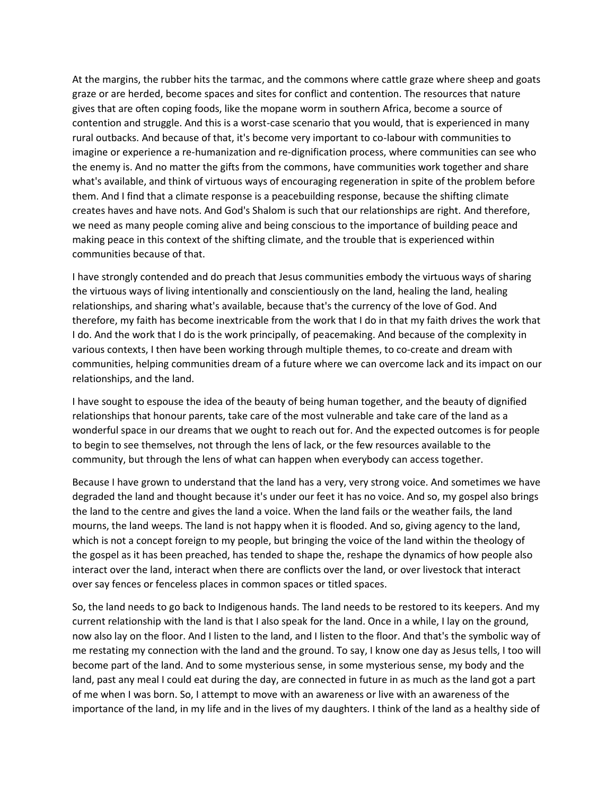At the margins, the rubber hits the tarmac, and the commons where cattle graze where sheep and goats graze or are herded, become spaces and sites for conflict and contention. The resources that nature gives that are often coping foods, like the mopane worm in southern Africa, become a source of contention and struggle. And this is a worst-case scenario that you would, that is experienced in many rural outbacks. And because of that, it's become very important to co-labour with communities to imagine or experience a re-humanization and re-dignification process, where communities can see who the enemy is. And no matter the gifts from the commons, have communities work together and share what's available, and think of virtuous ways of encouraging regeneration in spite of the problem before them. And I find that a climate response is a peacebuilding response, because the shifting climate creates haves and have nots. And God's Shalom is such that our relationships are right. And therefore, we need as many people coming alive and being conscious to the importance of building peace and making peace in this context of the shifting climate, and the trouble that is experienced within communities because of that.

I have strongly contended and do preach that Jesus communities embody the virtuous ways of sharing the virtuous ways of living intentionally and conscientiously on the land, healing the land, healing relationships, and sharing what's available, because that's the currency of the love of God. And therefore, my faith has become inextricable from the work that I do in that my faith drives the work that I do. And the work that I do is the work principally, of peacemaking. And because of the complexity in various contexts, I then have been working through multiple themes, to co-create and dream with communities, helping communities dream of a future where we can overcome lack and its impact on our relationships, and the land.

I have sought to espouse the idea of the beauty of being human together, and the beauty of dignified relationships that honour parents, take care of the most vulnerable and take care of the land as a wonderful space in our dreams that we ought to reach out for. And the expected outcomes is for people to begin to see themselves, not through the lens of lack, or the few resources available to the community, but through the lens of what can happen when everybody can access together.

Because I have grown to understand that the land has a very, very strong voice. And sometimes we have degraded the land and thought because it's under our feet it has no voice. And so, my gospel also brings the land to the centre and gives the land a voice. When the land fails or the weather fails, the land mourns, the land weeps. The land is not happy when it is flooded. And so, giving agency to the land, which is not a concept foreign to my people, but bringing the voice of the land within the theology of the gospel as it has been preached, has tended to shape the, reshape the dynamics of how people also interact over the land, interact when there are conflicts over the land, or over livestock that interact over say fences or fenceless places in common spaces or titled spaces.

So, the land needs to go back to Indigenous hands. The land needs to be restored to its keepers. And my current relationship with the land is that I also speak for the land. Once in a while, I lay on the ground, now also lay on the floor. And I listen to the land, and I listen to the floor. And that's the symbolic way of me restating my connection with the land and the ground. To say, I know one day as Jesus tells, I too will become part of the land. And to some mysterious sense, in some mysterious sense, my body and the land, past any meal I could eat during the day, are connected in future in as much as the land got a part of me when I was born. So, I attempt to move with an awareness or live with an awareness of the importance of the land, in my life and in the lives of my daughters. I think of the land as a healthy side of